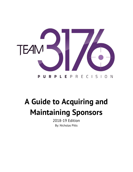

# **A Guide to Acquiring and Maintaining Sponsors**

2018-19 Edition By: Nicholas Pitts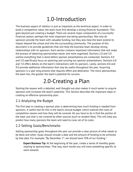## 1.0-Introduction

The business aspect of robotics is just as important as the technical aspect. In order to build a competitive robot, the team must first develop a strong financial foundation. This goes beyond just creating a budget. There are several major components of a successful financial season, perhaps the most important one being sponsorships. Not only do sponsors provide the team with valuable funding, but they also help the team extend its impact beyond the school and into the surrounding community. The purpose of this document is to provide guidelines that will help the business team develop strong relationships with its sponsors. Each section contains important information that will make the process of obtaining sponsorships easier and more organized. Sections 2.0 and 3.0 outline everything that is done before sponsor presentations are conducted. Sections 4.0 and 5.0 specifically focus on planning and carrying out sponsor presentations. Sections 6.0 and 7.0 offers details on the team's interactions with its sponsors. Lastly, sections 8.0 and 9.0 provide additional information that may be useful throughout the year. Acquiring sponsors is a year long process that requires effort and dedication. The more sponsorships the team has, the greater the team's potential for success.

## 2.0-Creating a Plan

Starting the season with a detailed, well thought-out plan makes it much easier to acquire sponsors and increases the team's potential. This Section describes the important steps in creating an effective sponsorship plan.

### 2.1-Analyzing the Budget

The first step in creating a sponsor plan is determining how much funding is needed from sponsors. A useful tool for this is the team's annual budget, which outlines the costs of competition season and how they will be covered. All you have to do is find the portion of the total cost that is not covered by other sources (such as student fees). This will help you predict how many sponsors the team will need to cover all of its costs.

## 2.2-Setting Goals/Benchmarks

Setting sponsorship goals throughout the year can provide a clear picture of what needs to be done and when. Goals should include a date and the amount of funding to be achieved by that date. For example: "By December  $1<sup>st</sup>$ , we should have 70% of our funding."

**Expert Business Tip:** At the beginning of the year, create a series of monthly goals relating to sponsorships. That way, each month you will have something specific to work towards.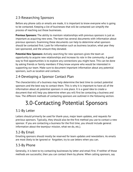### 2.3-Researching Sponsors

Before any phone calls or emails are made, it is important to know everyone who is going to be contacted. Keeping a list of businesses that will be contacted can simplify the process of reaching out those businesses.

**Previous Sponsors:** The ability to maintain relationships with previous sponsors is just as important as acquiring new ones. The team has several documents with information about previous sponsors. Examining these documents can help to determine what sponsors should be contacted first. Look for information such as business location, what year they last sponsored, and the amount they donated.

**Potential New Sponsors:** Actively searching for new sponsors gives the team an opportunity to acquire new relationships and increase its role in the community. A good way to find opportunities is to explore any connections you might have. This can be done by asking friends or family members if they know anyone who would be interested in supporting our team. Make sure to document important information about any potential sponsors, such as location and contacts.

## 2.4-Developing a Sponsor Contact Plan

The characteristics of a business may help determine the best time to contact potential sponsors and the best way to contact them. This is why it is important to have all of the information about all potential sponsors in one place. It is a good idea to create a document that will help you determine when you will first be contacting a business and how. The different methods of contacting sponsors are outlined in the following section.

## 3.0-Contacting Potential Sponsors

### 3.1-By Letter

Letters should primarily be used for thank-yous, major team updates, and requests for previous sponsors. Typically, they should also be the first method you use to contact a new sponsor. If you are contacting a business for the first time, you should include general information about the team(our mission, what we do, etc.).

### 3.2-By Email

Emailing sponsors should mostly be reserved for team updates and newsletters. As emails are most likely to be ignored or forgotten, try to use letters when you can.

### 3.3-By Phone

Generally, it is best to try contacting businesses by letter and email first. If neither of those methods are successful, then you can contact them by phone. When calling sponsors, say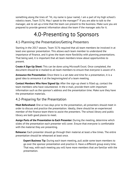something along the lines of: "Hi, my name is (your name). I am a part of my high school's robotics team, Team 3176. May I speak to the manager?" If you are able to talk to the manager, ask to set up a time that the team can present to the business. Make sure you are prepared to provide general information about the team if the manager asks for it.

## 4.0-Presenting to Sponsors

### 4.1-Planning the Presentation/Getting Presenters

Starting in the 2017 season, Team 3176 required that all team members be involved in at least one sponsor presentation. This allows each team member to understand the importance of finance, and it gives the team more flexibility with planning presentations. That being said, it is important that all team members know about opportunities to present.

**Create A Sign-Up Sheet:** This can be done using Microsoft Excel. Once completed, the document should be e-mailed to all team members to ensure that everyone is aware of it.

**Announce the Presentation:** Once there is a set date and time for a presentation, it is a good idea to announce it at the beginning/end of a team meeting.

**Contact Members Who Have Signed Up:** After the sign-up sheet is filled up, contact the team members who have volunteered. In the e-mail, provide them with important information such as the sponsor's address and the presentation time. Make sure they have the presentation materials.

### 4.2-Preparing for the Presentation

**Meet Beforehand:** One or two days prior to the presentation, all presenters should meet in order to discuss and practice the presentation. Ideally, there should be an experienced member of the finance team there to assist the presenters. The school library and public library are both good places to meet.

**Assign Parts of the Presentation to Each Presenter:** During the meeting, determine which slides of the presentation each presenter will cover. Ensure that everyone is comfortable with the material they are presenting.

**Rehearse:** Each presenter should go through their material at least a few times. The entire presentation should be rehearsed at least once.

**Expert Business Tip:** During each team meeting, pull aside some team members to go over the sponsor presentation and practice it. Have a different group every time. That way, with each meeting you will have more members that are familiar with the presentation.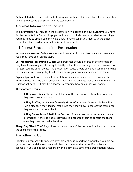**Gather Materials:** Ensure that the following materials are all in one place: the presentation binder, the presentation slides, and the leave-behind.

### 4.3-What Information to Include

The information you include in the presentation will depend on how much time you have for the presentation. Some things, you will need to include no matter what; other things, you may need to omit if you only have a few minutes. When you meet with the other presenters, discuss what information is most important.

### 4.4-General Structure of the Presentation

**Introduce Yourselves:** Each presenter should say their first and last name, and how many years they have been on the team.

**Go Through the Presentation Slides:** Each presenter should go through the information they have been assigned. It is okay to briefly look at the slides to guide you. However, do not just read the bullet points. The presentation slides should serve as a summary of what the presenters are saying. Try to add examples of your own experience on the team.

**Explain Sponsor Levels:** Once all presentation slides have been covered, take out the leave-behind. Describe each sponsorship level and the benefits that come with them. This is important because it may help sponsors determine how much they will donate.

#### **The Sponsor's Decision:**

**If They Write You a Check:** Thank them for their donation. Take note of whether they need a receipt or not.

**If They Say Yes, but Cannot Currently Write a Check:** Ask if they would be willing to sign a pledge. If they decline, make sure they know how to contact the team once they are able to write a check.

**If They Do Not Make A Definitive Decision:** Provide them with the team's contact information, if they do not already have it. Encourage them to contact the team once they have reached a decision.

**Always Say "Thank You":** Regardless of the outcome of the presentation, be sure to thank the sponsors for their time.

### 4.5-Following Up

Maintaining contact with sponsors after presenting is important, especially if you did not get a decision. Initially, send an email thanking them for their time. For undecided sponsors, if you do not get a response within a few days days of the presentation, follow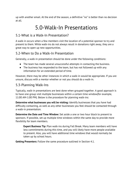up with another email. At the end of the season, a definitive "no" is better than no decision at all.

## 5.0-Walk-In Presentations

#### 5.1-What is a Walk-In Presentation?

A walk-in occurs when a few members visit the location of a potential sponsor to try and present to them. While walk-ins do not always result in donations right away, they are a great way to open up new opportunities.

#### 5.2-When to Do a Walk-In Presentation

Generally, a walk-in presentation should be done under the following conditions:

- The team has made several unsuccessful attempts in contacting the business.
- The business has responded to the team, but has not followed up with any information for an extended period of time.

However, there may be other instances in which a walk-in would be appropriate. If you are unsure, discuss with a mentor whether or not you should do a walk-in.

#### 5.3-Planning Walk-Ins

Typically, walk-in presentations are best done when grouped together. A good approach is to have one group visit multiple businesses within a certain time window(for example, 11:00 AM-1:00 PM). Below is the procedure for planning walk-ins:

**Determine what businesses you will be visiting:** Identify businesses that you have had difficulty contacting, as well as any other businesses you feel should be contacted through a walk-in presentation.

**Determine the Date and Time Window:** Set aside a one or two hour block to present to sponsors. If possible, set up multiple time windows within the same day to provide more flexibility for team members.

**Expert Business Tip:** Plan walk-ins during Fall Break. Many team members will have less commitments during this time, and you will likely have more people available to present. Also, you will have additional time windows that would normally be taken up by school hours.

**Getting Presenters:** Follow the same procedure outlined in Section 4.1.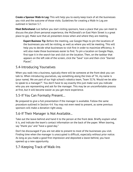**Create a Sponsor Walk-In Log:** This will help you to easily keep track of all the businesses you visit and the outcome of those visits. Guidelines for creating a Walk-In Log are outlined in Section 5.7.

**Meet Beforehand:** Just before you start visiting sponsors, have a place that you can meet to discuss the plan (from personal experience, the McDonald's on East Main Street is a great place to go). Make sure that all presenters know when and where they are meeting.

**Expert Business Tip:** Before the meeting, use Google Maps to pin the locations of the businesses you will be visiting, as well as where you will be meeting. This will help you to decide what businesses to visit first in order to maximize efficiency. It will also make those businesses easier to find. To pin a location on Google Maps, first type it in the search bar and click on the location. Then, on the taskbar that appears on the left side of the screen, click the "Save" icon and then click "Starred Places".

#### 5.4-Introducing Yourselves

When you walk into a business, typically there will be someone at the front desk you can talk to. When introducing yourselves, say something along the lines of "Hi, my name is (your name). We are part of our high school's robotics team, Team 3176. Would we be able to speak to a manager?". You don't have to say exactly this-just make sure you indicate who you are representing and ask for the manager. This may be an uncomfortable process at first, but it will become easier as you get more experience.

#### 5.5-If You Can Formally Present…

Be prepared to give a full presentation if the manager is available. Follow the same procedure outlined in Section 4.4. You may not even need to present, as some previous sponsors will make a donation right away.

### 5.6-If Their Manager is Not Available...

Take out the leave-behind and hand it to the person at the front desk. Briefly explain what it is, and indicate the team's contact information on the back of the paper. When leaving, say "thank you" and "have a good day."

Don't be discouraged if you are not able to present to most of the businesses you visit. Finding time when the manager is unoccupied is difficult, especially without prior notice. As long as you made a good first impression and deposited a leave-behind, you have opened up a new opportunity.

### 5.7-Keeping Track of Walk-Ins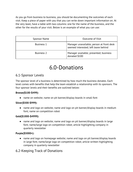As you go from business to business, you should be documenting the outcomes of each visit. Keep a piece of paper with you that you can write down important information on. At the very least, have a table with two columns: one for the name of the business, and the other for the results of your visit. Below is an example of what you can use:

| Sponsor Name      | <b>Outcome of Visit</b>                                                           |
|-------------------|-----------------------------------------------------------------------------------|
| <b>Business 1</b> | Manager unavailable; person at front desk<br>seemed interested; left leave behind |
| <b>Business 2</b> | Manager available; presented; business<br>donated \$100                           |

## 6.0-Donations

#### 6.1-Sponsor Levels

The sponsor level of a business is determined by how much the business donates. Each level comes with benefits that help the team establish a relationship with its sponsors. The four sponsor levels and their benefits are outlined below:

#### **Bronze(\$100-\$499):**

● name on website; name on pit banner/display boards in small font

#### **Silver(\$500-\$999):**

● name and logo on website; name and logo on pit banner/display boards in medium font; name on competition robot

#### **Gold(\$1000-\$4999):**

● name and logo on website; name and logo on pit banner/display boards in large font; name/large logo on competition robot; article highlighting company in quarterly newsletter

#### **Purple(\$5000+):**

● name and logo on homepage website; name and logo on pit banner/display boards in large font; name/large logo on competition robot; article written highlighting company in quarterly newsletter

### 6.2-Keeping Track of Donations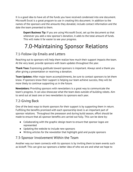It is a good idea to have all of the funds you have received condensed into one document. Microsoft Excel is a great program to use in creating this document. In addition to the names of the sponsors and the amounts they donated, include contact information and the date the team presented to them.

**Expert Business Tip:** If you are using Microsoft Excel, set up the document so that whenever you add a new sponsor's donation, it adds to the total amount of funds. This will make it far easier to see your progress.

## 7.0-Maintaining Sponsor Relations

### 7.1-Follow-Up Emails and Letters

Reaching out to sponsors will help them realize how much their support impacts the team. At the very least, provide sponsors with team updates throughout the year.

**Thank Yous:** Expressing gratitude toward sponsors is important. Always send a thank you after giving a presentation or receiving a donation.

**Team Updates:** After major team accomplishments, be sure to contact sponsors to let them know. If sponsors know their support is helping our team achieve success, they will be more likely to continue supporting us in the future.

**Newsletters:** Providing sponsors with newsletters is a great way to communicate the team's progress. It can also showcase what the team does outside of building robots. Aim to send out at least one or two newsletters to sponsors each year.

## 7.2-Giving Back

One of the best ways to thank sponsors for their support is by supporting them in return. Fulfilling the benefits promised with each sponsorship level is an important part of sponsor relations. Throughout the preseason and during build season, effort should be made to ensure that all sponsor benefits are carried out fully. This can be done by:

- Collaborating with the graphic design team to ensure that sponsor logos are represented
- Updating the website to include new sponsors
- Writing articles for the newsletter that highlight gold and purple sponsors

### 7.3-Sponsor Involvement Within the Team

Another way our team connects with its sponsors is by inviting them to team events such as kickoff. This can give our sponsors a better idea of who we are and what we hope to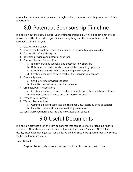accomplish. As you acquire sponsors throughout the year, make sure they are aware of this opportunity.

## 8.0-Potential Sponsorship Timeline

This section outlines how a typical year of finance might look. While it doesn't have to be followed exactly, it provides a good idea of everything that the finance team has to accomplish within the year.

- 1. Create a team budget
- 2. Analyze the budget/determine the amount of sponsorship funds needed
- 3. Create a list of monthly goals
- 4. Research previous and potential sponsors
- 5. Create a Sponsor Contact Plan
	- a. Identify previous sponsors and potential new sponsors
	- b. Determine the order in which you will be contacting sponsors
	- c. Determine how you will be contacting each sponsor
	- d. Create a document to keep track of the sponsors you contact
- 6. Contact Sponsors
	- a. Send letters to previous sponsors
	- b. Establish contact with potential sponsors
- 7. Organize/Plan Presentations
	- a. Create a document to keep track of available presentation dates and times
	- b. Fill in presentation dates once businesses respond
- 8. Present to Businesses
- 9. Walk-In Presentations
	- a. Compile a list of businesses the team has unsuccessfully tried to contact
	- b. Establish dates and times for walk-in presentations
- 10. Send thank you notes,updates, and newsletters to sponsors

## 9.0-Useful Documents

This section provides a list of Team documents that can be useful in organizing financial operations. All of these documents can be found in the Team's "Business Ops" folder. Ideally, these documents (except for the leave-behind) should be updated regularly so they can be used in future years.

#### **Leave-Behind**

**Purpose:** To list each sponsor level and the benefits associated with them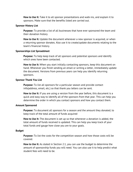**How to Use It:** Take it to all sponsor presentations and walk-ins, and explain it to sponsors. Make sure that the benefits listed are carried out.

#### **Sponsor History List**

**Purpose:** To provide a list of all businesses that have ever sponsored the team and their donation history

**How to Use It:** Update the document whenever a new sponsor is acquired, or when a returning sponsor donates. Also use it to create/update documents relating to the team's financial history.

#### **Sponsorships List Spreadsheet**

**Purpose:** To help keep track of all sponsors and potential sponsors and identify which ones have been contacted.

**How to Use It:** When you start initially contacting sponsors, keep this document on hand. Whenever you finish sending an email or writing a letter, immediately update the document. Versions from previous years can help you identify returning sponsors.

#### **Sponsor Thank You List**

**Purpose:** To list all sponsors for a particular season and provide contact info(address, email, etc.) so that thank you letters can be sent.

**How to Use It:** If you are using a version from the year before, this document is a quick and easy way to identify all of the sponsors from that year. This can help you determine the order in which you contact sponsors and how you contact them.

#### **Amount Sponsored**

**Purpose:** To document all sponsors for a season and the amount they donated; to keep track of the total amount of funds acquired

**How to Use It:** The document is set up so that whenever a donation is added, the total amount of funds received is updated. This can help you keep track of your total funds and gauge how close you are to your goals.

#### **Budget**

**Purpose:** To list the costs for the competition season and how those costs will be covered.

**How to Use It:** As stated in Section 2.1, you can use the budget to determine the amount of sponsorship funds you will need. You can also use it to help predict what student fees will need to be.